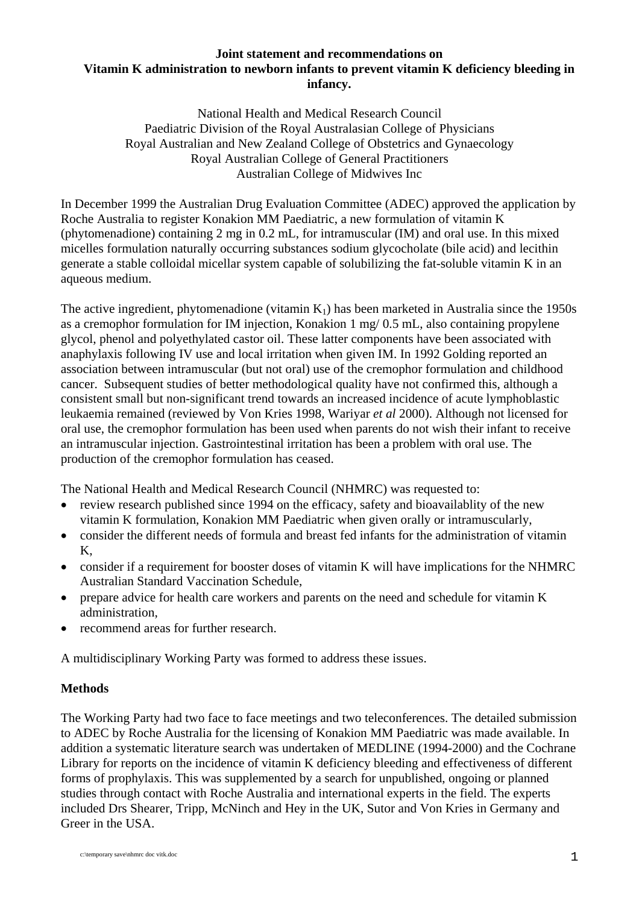## **Joint statement and recommendations on Vitamin K administration to newborn infants to prevent vitamin K deficiency bleeding in infancy.**

National Health and Medical Research Council Paediatric Division of the Royal Australasian College of Physicians Royal Australian and New Zealand College of Obstetrics and Gynaecology Royal Australian College of General Practitioners Australian College of Midwives Inc

In December 1999 the Australian Drug Evaluation Committee (ADEC) approved the application by Roche Australia to register Konakion MM Paediatric, a new formulation of vitamin K (phytomenadione) containing 2 mg in 0.2 mL, for intramuscular (IM) and oral use. In this mixed micelles formulation naturally occurring substances sodium glycocholate (bile acid) and lecithin generate a stable colloidal micellar system capable of solubilizing the fat-soluble vitamin K in an aqueous medium.

The active ingredient, phytomenadione (vitamin  $K_1$ ) has been marketed in Australia since the 1950s as a cremophor formulation for IM injection, Konakion 1 mg/ 0.5 mL, also containing propylene glycol, phenol and polyethylated castor oil. These latter components have been associated with anaphylaxis following IV use and local irritation when given IM. In 1992 Golding reported an association between intramuscular (but not oral) use of the cremophor formulation and childhood cancer. Subsequent studies of better methodological quality have not confirmed this, although a consistent small but non-significant trend towards an increased incidence of acute lymphoblastic leukaemia remained (reviewed by Von Kries 1998, Wariyar *et al* 2000). Although not licensed for oral use, the cremophor formulation has been used when parents do not wish their infant to receive an intramuscular injection. Gastrointestinal irritation has been a problem with oral use. The production of the cremophor formulation has ceased.

The National Health and Medical Research Council (NHMRC) was requested to:

- review research published since 1994 on the efficacy, safety and bioavailablity of the new vitamin K formulation, Konakion MM Paediatric when given orally or intramuscularly,
- consider the different needs of formula and breast fed infants for the administration of vitamin K,
- consider if a requirement for booster doses of vitamin K will have implications for the NHMRC Australian Standard Vaccination Schedule,
- prepare advice for health care workers and parents on the need and schedule for vitamin K administration,
- recommend areas for further research.

A multidisciplinary Working Party was formed to address these issues.

## **Methods**

The Working Party had two face to face meetings and two teleconferences. The detailed submission to ADEC by Roche Australia for the licensing of Konakion MM Paediatric was made available. In addition a systematic literature search was undertaken of MEDLINE (1994-2000) and the Cochrane Library for reports on the incidence of vitamin K deficiency bleeding and effectiveness of different forms of prophylaxis. This was supplemented by a search for unpublished, ongoing or planned studies through contact with Roche Australia and international experts in the field. The experts included Drs Shearer, Tripp, McNinch and Hey in the UK, Sutor and Von Kries in Germany and Greer in the USA.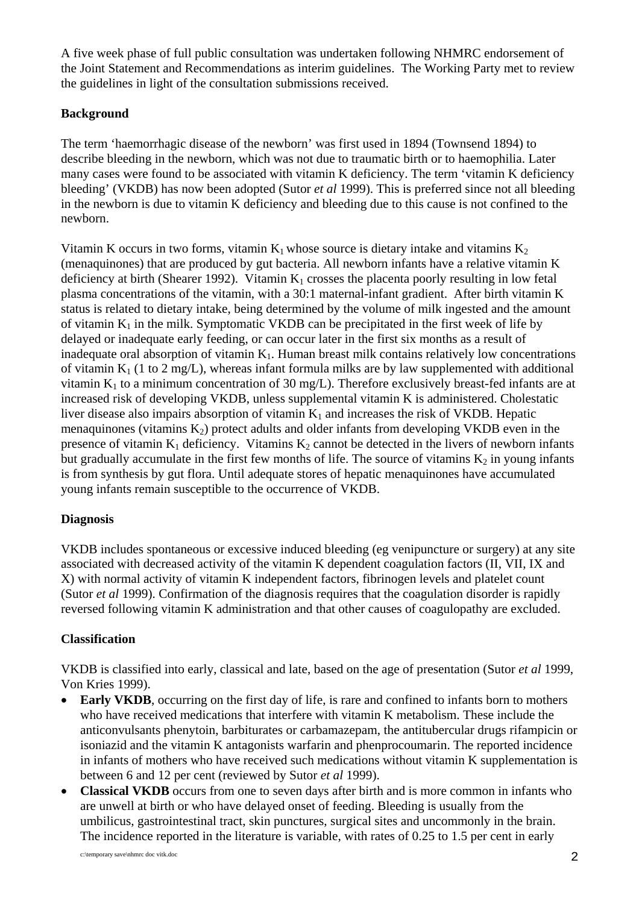A five week phase of full public consultation was undertaken following NHMRC endorsement of the Joint Statement and Recommendations as interim guidelines. The Working Party met to review the guidelines in light of the consultation submissions received.

# **Background**

The term 'haemorrhagic disease of the newborn' was first used in 1894 (Townsend 1894) to describe bleeding in the newborn, which was not due to traumatic birth or to haemophilia. Later many cases were found to be associated with vitamin K deficiency. The term 'vitamin K deficiency bleeding' (VKDB) has now been adopted (Sutor *et al* 1999). This is preferred since not all bleeding in the newborn is due to vitamin K deficiency and bleeding due to this cause is not confined to the newborn.

Vitamin K occurs in two forms, vitamin  $K_1$  whose source is dietary intake and vitamins  $K_2$ (menaquinones) that are produced by gut bacteria. All newborn infants have a relative vitamin K deficiency at birth (Shearer 1992). Vitamin  $K_1$  crosses the placenta poorly resulting in low fetal plasma concentrations of the vitamin, with a 30:1 maternal-infant gradient. After birth vitamin K status is related to dietary intake, being determined by the volume of milk ingested and the amount of vitamin  $K_1$  in the milk. Symptomatic VKDB can be precipitated in the first week of life by delayed or inadequate early feeding, or can occur later in the first six months as a result of inadequate oral absorption of vitamin  $K_1$ . Human breast milk contains relatively low concentrations of vitamin  $K_1$  (1 to 2 mg/L), whereas infant formula milks are by law supplemented with additional vitamin  $K_1$  to a minimum concentration of 30 mg/L). Therefore exclusively breast-fed infants are at increased risk of developing VKDB, unless supplemental vitamin K is administered. Cholestatic liver disease also impairs absorption of vitamin  $K_1$  and increases the risk of VKDB. Hepatic menaquinones (vitamins  $K_2$ ) protect adults and older infants from developing VKDB even in the presence of vitamin  $K_1$  deficiency. Vitamins  $K_2$  cannot be detected in the livers of newborn infants but gradually accumulate in the first few months of life. The source of vitamins  $K_2$  in young infants is from synthesis by gut flora. Until adequate stores of hepatic menaquinones have accumulated young infants remain susceptible to the occurrence of VKDB.

## **Diagnosis**

VKDB includes spontaneous or excessive induced bleeding (eg venipuncture or surgery) at any site associated with decreased activity of the vitamin K dependent coagulation factors (II, VII, IX and X) with normal activity of vitamin K independent factors, fibrinogen levels and platelet count (Sutor *et al* 1999). Confirmation of the diagnosis requires that the coagulation disorder is rapidly reversed following vitamin K administration and that other causes of coagulopathy are excluded.

## **Classification**

VKDB is classified into early, classical and late, based on the age of presentation (Sutor *et al* 1999, Von Kries 1999).

- **Early VKDB**, occurring on the first day of life, is rare and confined to infants born to mothers who have received medications that interfere with vitamin K metabolism. These include the anticonvulsants phenytoin, barbiturates or carbamazepam, the antitubercular drugs rifampicin or isoniazid and the vitamin K antagonists warfarin and phenprocoumarin. The reported incidence in infants of mothers who have received such medications without vitamin K supplementation is between 6 and 12 per cent (reviewed by Sutor *et al* 1999).
- **Classical VKDB** occurs from one to seven days after birth and is more common in infants who are unwell at birth or who have delayed onset of feeding. Bleeding is usually from the umbilicus, gastrointestinal tract, skin punctures, surgical sites and uncommonly in the brain. The incidence reported in the literature is variable, with rates of 0.25 to 1.5 per cent in early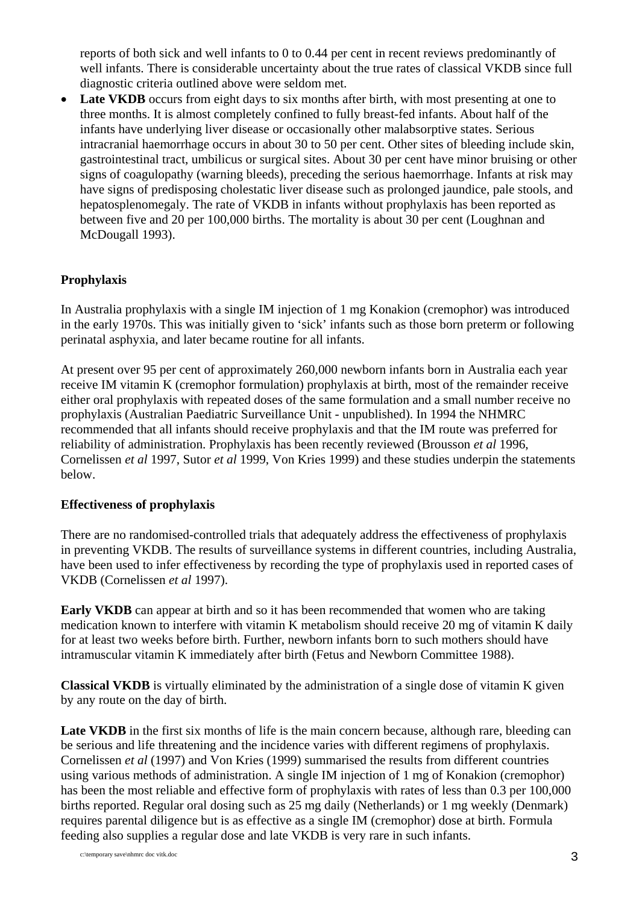reports of both sick and well infants to 0 to 0.44 per cent in recent reviews predominantly of well infants. There is considerable uncertainty about the true rates of classical VKDB since full diagnostic criteria outlined above were seldom met.

• Late VKDB occurs from eight days to six months after birth, with most presenting at one to three months. It is almost completely confined to fully breast-fed infants. About half of the infants have underlying liver disease or occasionally other malabsorptive states. Serious intracranial haemorrhage occurs in about 30 to 50 per cent. Other sites of bleeding include skin, gastrointestinal tract, umbilicus or surgical sites. About 30 per cent have minor bruising or other signs of coagulopathy (warning bleeds), preceding the serious haemorrhage. Infants at risk may have signs of predisposing cholestatic liver disease such as prolonged jaundice, pale stools, and hepatosplenomegaly. The rate of VKDB in infants without prophylaxis has been reported as between five and 20 per 100,000 births. The mortality is about 30 per cent (Loughnan and McDougall 1993).

### **Prophylaxis**

In Australia prophylaxis with a single IM injection of 1 mg Konakion (cremophor) was introduced in the early 1970s. This was initially given to 'sick' infants such as those born preterm or following perinatal asphyxia, and later became routine for all infants.

At present over 95 per cent of approximately 260,000 newborn infants born in Australia each year receive IM vitamin K (cremophor formulation) prophylaxis at birth, most of the remainder receive either oral prophylaxis with repeated doses of the same formulation and a small number receive no prophylaxis (Australian Paediatric Surveillance Unit - unpublished). In 1994 the NHMRC recommended that all infants should receive prophylaxis and that the IM route was preferred for reliability of administration. Prophylaxis has been recently reviewed (Brousson *et al* 1996, Cornelissen *et al* 1997, Sutor *et al* 1999, Von Kries 1999) and these studies underpin the statements below.

#### **Effectiveness of prophylaxis**

There are no randomised-controlled trials that adequately address the effectiveness of prophylaxis in preventing VKDB. The results of surveillance systems in different countries, including Australia, have been used to infer effectiveness by recording the type of prophylaxis used in reported cases of VKDB (Cornelissen *et al* 1997).

**Early VKDB** can appear at birth and so it has been recommended that women who are taking medication known to interfere with vitamin K metabolism should receive 20 mg of vitamin K daily for at least two weeks before birth. Further, newborn infants born to such mothers should have intramuscular vitamin K immediately after birth (Fetus and Newborn Committee 1988).

**Classical VKDB** is virtually eliminated by the administration of a single dose of vitamin K given by any route on the day of birth.

Late VKDB in the first six months of life is the main concern because, although rare, bleeding can be serious and life threatening and the incidence varies with different regimens of prophylaxis. Cornelissen *et al* (1997) and Von Kries (1999) summarised the results from different countries using various methods of administration. A single IM injection of 1 mg of Konakion (cremophor) has been the most reliable and effective form of prophylaxis with rates of less than 0.3 per 100,000 births reported. Regular oral dosing such as 25 mg daily (Netherlands) or 1 mg weekly (Denmark) requires parental diligence but is as effective as a single IM (cremophor) dose at birth. Formula feeding also supplies a regular dose and late VKDB is very rare in such infants.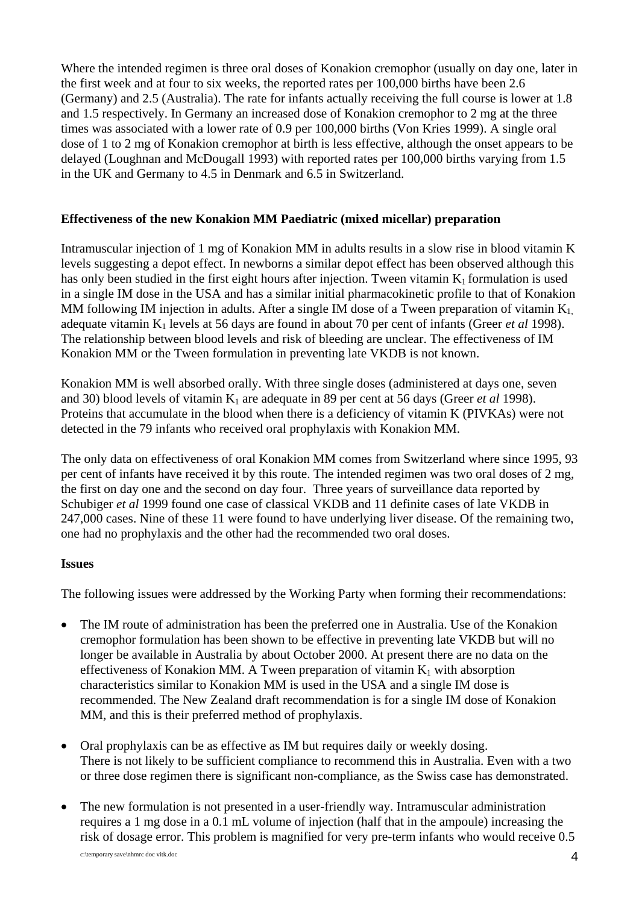Where the intended regimen is three oral doses of Konakion cremophor (usually on day one, later in the first week and at four to six weeks, the reported rates per 100,000 births have been 2.6 (Germany) and 2.5 (Australia). The rate for infants actually receiving the full course is lower at 1.8 and 1.5 respectively. In Germany an increased dose of Konakion cremophor to 2 mg at the three times was associated with a lower rate of 0.9 per 100,000 births (Von Kries 1999). A single oral dose of 1 to 2 mg of Konakion cremophor at birth is less effective, although the onset appears to be delayed (Loughnan and McDougall 1993) with reported rates per 100,000 births varying from 1.5 in the UK and Germany to 4.5 in Denmark and 6.5 in Switzerland.

### **Effectiveness of the new Konakion MM Paediatric (mixed micellar) preparation**

Intramuscular injection of 1 mg of Konakion MM in adults results in a slow rise in blood vitamin K levels suggesting a depot effect. In newborns a similar depot effect has been observed although this has only been studied in the first eight hours after injection. Tween vitamin  $K_1$  formulation is used in a single IM dose in the USA and has a similar initial pharmacokinetic profile to that of Konakion MM following IM injection in adults. After a single IM dose of a Tween preparation of vitamin  $K_1$ adequate vitamin K1 levels at 56 days are found in about 70 per cent of infants (Greer *et al* 1998). The relationship between blood levels and risk of bleeding are unclear. The effectiveness of IM Konakion MM or the Tween formulation in preventing late VKDB is not known.

Konakion MM is well absorbed orally. With three single doses (administered at days one, seven and 30) blood levels of vitamin  $K_1$  are adequate in 89 per cent at 56 days (Greer *et al* 1998). Proteins that accumulate in the blood when there is a deficiency of vitamin K (PIVKAs) were not detected in the 79 infants who received oral prophylaxis with Konakion MM.

The only data on effectiveness of oral Konakion MM comes from Switzerland where since 1995, 93 per cent of infants have received it by this route. The intended regimen was two oral doses of 2 mg, the first on day one and the second on day four. Three years of surveillance data reported by Schubiger *et al* 1999 found one case of classical VKDB and 11 definite cases of late VKDB in 247,000 cases. Nine of these 11 were found to have underlying liver disease. Of the remaining two, one had no prophylaxis and the other had the recommended two oral doses.

#### **Issues**

The following issues were addressed by the Working Party when forming their recommendations:

- The IM route of administration has been the preferred one in Australia. Use of the Konakion cremophor formulation has been shown to be effective in preventing late VKDB but will no longer be available in Australia by about October 2000. At present there are no data on the effectiveness of Konakion MM. A Tween preparation of vitamin  $K_1$  with absorption characteristics similar to Konakion MM is used in the USA and a single IM dose is recommended. The New Zealand draft recommendation is for a single IM dose of Konakion MM, and this is their preferred method of prophylaxis.
- Oral prophylaxis can be as effective as IM but requires daily or weekly dosing. There is not likely to be sufficient compliance to recommend this in Australia. Even with a two or three dose regimen there is significant non-compliance, as the Swiss case has demonstrated.
- The new formulation is not presented in a user-friendly way. Intramuscular administration requires a 1 mg dose in a 0.1 mL volume of injection (half that in the ampoule) increasing the risk of dosage error. This problem is magnified for very pre-term infants who would receive 0.5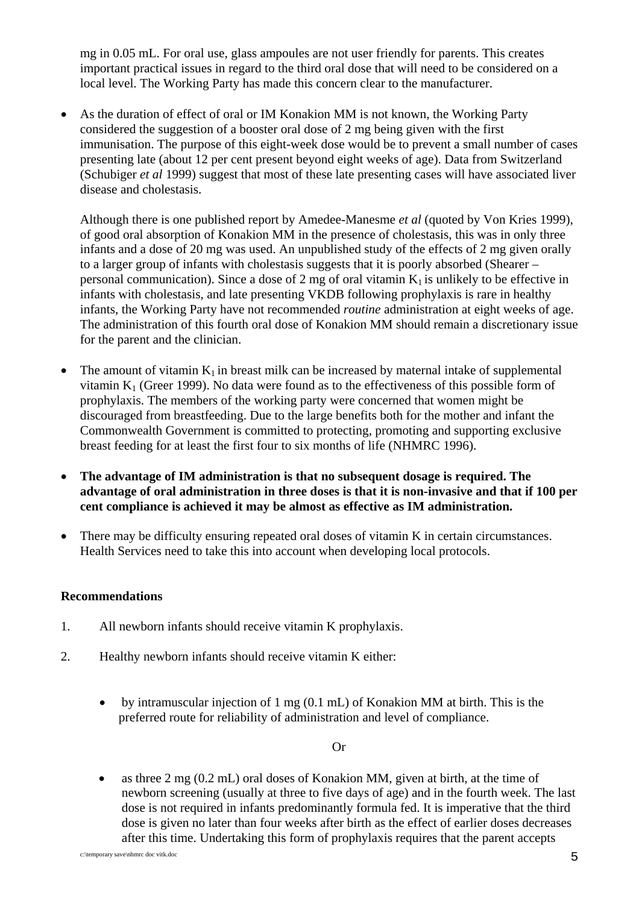mg in 0.05 mL. For oral use, glass ampoules are not user friendly for parents. This creates important practical issues in regard to the third oral dose that will need to be considered on a local level. The Working Party has made this concern clear to the manufacturer.

• As the duration of effect of oral or IM Konakion MM is not known, the Working Party considered the suggestion of a booster oral dose of 2 mg being given with the first immunisation. The purpose of this eight-week dose would be to prevent a small number of cases presenting late (about 12 per cent present beyond eight weeks of age). Data from Switzerland (Schubiger *et al* 1999) suggest that most of these late presenting cases will have associated liver disease and cholestasis.

Although there is one published report by Amedee-Manesme *et al* (quoted by Von Kries 1999), of good oral absorption of Konakion MM in the presence of cholestasis, this was in only three infants and a dose of 20 mg was used. An unpublished study of the effects of 2 mg given orally to a larger group of infants with cholestasis suggests that it is poorly absorbed (Shearer – personal communication). Since a dose of 2 mg of oral vitamin  $K_1$  is unlikely to be effective in infants with cholestasis, and late presenting VKDB following prophylaxis is rare in healthy infants, the Working Party have not recommended *routine* administration at eight weeks of age. The administration of this fourth oral dose of Konakion MM should remain a discretionary issue for the parent and the clinician.

- The amount of vitamin  $K_1$  in breast milk can be increased by maternal intake of supplemental vitamin  $K_1$  (Greer 1999). No data were found as to the effectiveness of this possible form of prophylaxis. The members of the working party were concerned that women might be discouraged from breastfeeding. Due to the large benefits both for the mother and infant the Commonwealth Government is committed to protecting, promoting and supporting exclusive breast feeding for at least the first four to six months of life (NHMRC 1996).
- **The advantage of IM administration is that no subsequent dosage is required. The advantage of oral administration in three doses is that it is non-invasive and that if 100 per cent compliance is achieved it may be almost as effective as IM administration.**
- There may be difficulty ensuring repeated oral doses of vitamin K in certain circumstances. Health Services need to take this into account when developing local protocols.

#### **Recommendations**

- 1. All newborn infants should receive vitamin K prophylaxis.
- 2. Healthy newborn infants should receive vitamin K either:
	- by intramuscular injection of 1 mg (0.1 mL) of Konakion MM at birth. This is the preferred route for reliability of administration and level of compliance.

#### Or

• as three 2 mg (0.2 mL) oral doses of Konakion MM, given at birth, at the time of newborn screening (usually at three to five days of age) and in the fourth week. The last dose is not required in infants predominantly formula fed. It is imperative that the third dose is given no later than four weeks after birth as the effect of earlier doses decreases after this time. Undertaking this form of prophylaxis requires that the parent accepts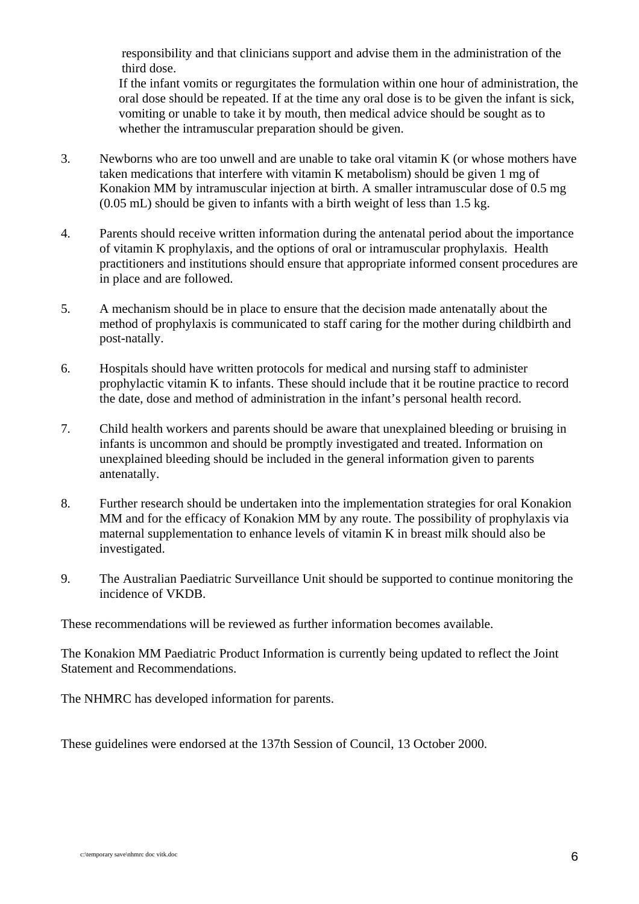responsibility and that clinicians support and advise them in the administration of the third dose.

If the infant vomits or regurgitates the formulation within one hour of administration, the oral dose should be repeated. If at the time any oral dose is to be given the infant is sick, vomiting or unable to take it by mouth, then medical advice should be sought as to whether the intramuscular preparation should be given.

- 3. Newborns who are too unwell and are unable to take oral vitamin K (or whose mothers have taken medications that interfere with vitamin K metabolism) should be given 1 mg of Konakion MM by intramuscular injection at birth. A smaller intramuscular dose of 0.5 mg (0.05 mL) should be given to infants with a birth weight of less than 1.5 kg.
- 4. Parents should receive written information during the antenatal period about the importance of vitamin K prophylaxis, and the options of oral or intramuscular prophylaxis. Health practitioners and institutions should ensure that appropriate informed consent procedures are in place and are followed.
- 5. A mechanism should be in place to ensure that the decision made antenatally about the method of prophylaxis is communicated to staff caring for the mother during childbirth and post-natally.
- 6. Hospitals should have written protocols for medical and nursing staff to administer prophylactic vitamin K to infants. These should include that it be routine practice to record the date, dose and method of administration in the infant's personal health record.
- 7. Child health workers and parents should be aware that unexplained bleeding or bruising in infants is uncommon and should be promptly investigated and treated. Information on unexplained bleeding should be included in the general information given to parents antenatally.
- 8. Further research should be undertaken into the implementation strategies for oral Konakion MM and for the efficacy of Konakion MM by any route. The possibility of prophylaxis via maternal supplementation to enhance levels of vitamin K in breast milk should also be investigated.
- 9. The Australian Paediatric Surveillance Unit should be supported to continue monitoring the incidence of VKDB.

These recommendations will be reviewed as further information becomes available.

The Konakion MM Paediatric Product Information is currently being updated to reflect the Joint Statement and Recommendations.

The NHMRC has developed information for parents.

These guidelines were endorsed at the 137th Session of Council, 13 October 2000.